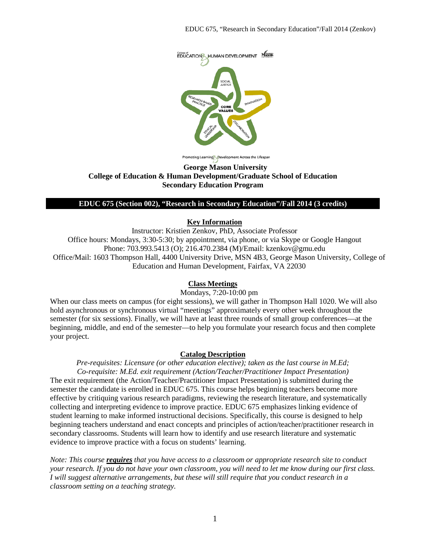

Promoting Learning Development Across the Lifespan

### **George Mason University College of Education & Human Development/Graduate School of Education Secondary Education Program**

### **EDUC 675 (Section 002), "Research in Secondary Education"/Fall 2014 (3 credits)**

#### **Key Information**

Instructor: Kristien Zenkov, PhD, Associate Professor Office hours: Mondays, 3:30-5:30; by appointment, via phone, or via Skype or Google Hangout Phone: 703.993.5413 (O); 216.470.2384 (M)/Email: kzenkov@gmu.edu Office/Mail: 1603 Thompson Hall, 4400 University Drive, MSN 4B3, George Mason University, College of Education and Human Development, Fairfax, VA 22030

### **Class Meetings**

Mondays, 7:20-10:00 pm

When our class meets on campus (for eight sessions), we will gather in Thompson Hall 1020. We will also hold asynchronous or synchronous virtual "meetings" approximately every other week throughout the semester (for six sessions). Finally, we will have at least three rounds of small group conferences—at the beginning, middle, and end of the semester—to help you formulate your research focus and then complete your project.

#### **Catalog Description**

*Pre-requisites: Licensure (or other education elective); taken as the last course in M.Ed; Co-requisite: M.Ed. exit requirement (Action/Teacher/Practitioner Impact Presentation)* The exit requirement (the Action/Teacher/Practitioner Impact Presentation) is submitted during the semester the candidate is enrolled in EDUC 675. This course helps beginning teachers become more effective by critiquing various research paradigms, reviewing the research literature, and systematically collecting and interpreting evidence to improve practice. EDUC 675 emphasizes linking evidence of student learning to make informed instructional decisions. Specifically, this course is designed to help beginning teachers understand and enact concepts and principles of action/teacher/practitioner research in secondary classrooms. Students will learn how to identify and use research literature and systematic evidence to improve practice with a focus on students' learning.

*Note: This course requires that you have access to a classroom or appropriate research site to conduct your research. If you do not have your own classroom, you will need to let me know during our first class. I will suggest alternative arrangements, but these will still require that you conduct research in a classroom setting on a teaching strategy.*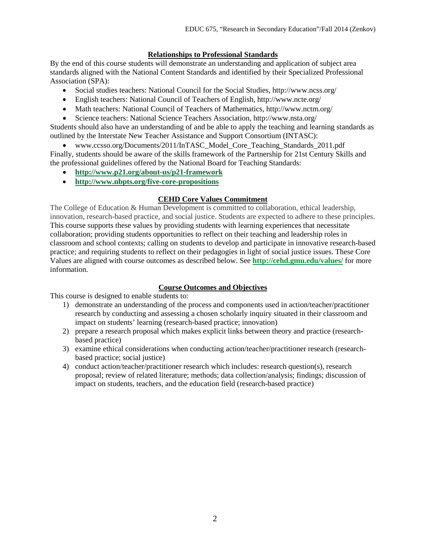# **Relationships to Professional Standards**

By the end of this course students will demonstrate an understanding and application of subject area standards aligned with the National Content Standards and identified by their Specialized Professional Association (SPA):

- Social studies teachers: National Council for the Social Studies, http://www.ncss.org/
- English teachers: National Council of Teachers of English, http://www.ncte.org/
- Math teachers: National Council of Teachers of Mathematics, http://www.nctm.org/
- Science teachers: National Science Teachers Association, http://www.nsta.org/

Students should also have an understanding of and be able to apply the teaching and learning standards as outlined by the Interstate New Teacher Assistance and Support Consortium (INTASC):

• www.ccsso.org/Documents/2011/InTASC\_Model\_Core\_Teaching\_Standards\_2011.pdf Finally, students should be aware of the skills framework of the Partnership for 21st Century Skills and the professional guidelines offered by the National Board for Teaching Standards:

- **<http://www.p21.org/about-us/p21-framework>**
- **<http://www.nbpts.org/five-core-propositions>**

## **CEHD Core Values Commitment**

The College of Education & Human Development is committed to collaboration, ethical leadership, innovation, research-based practice, and social justice. Students are expected to adhere to these principles. This course supports these values by providing students with learning experiences that necessitate collaboration; providing students opportunities to reflect on their teaching and leadership roles in classroom and school contexts; calling on students to develop and participate in innovative research-based practice; and requiring students to reflect on their pedagogies in light of social justice issues. These Core Values are aligned with course outcomes as described below. See **<http://cehd.gmu.edu/values/>** for more information.

### **Course Outcomes and Objectives**

This course is designed to enable students to:

- 1) demonstrate an understanding of the process and components used in action/teacher/practitioner research by conducting and assessing a chosen scholarly inquiry situated in their classroom and impact on students' learning (research-based practice; innovation)
- 2) prepare a research proposal which makes explicit links between theory and practice (researchbased practice)
- 3) examine ethical considerations when conducting action/teacher/practitioner research (researchbased practice; social justice)
- 4) conduct action/teacher/practitioner research which includes: research question(s), research proposal; review of related literature; methods; data collection/analysis; findings; discussion of impact on students, teachers, and the education field (research-based practice)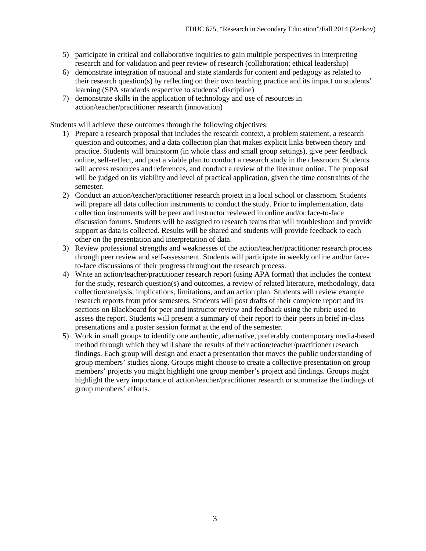- 5) participate in critical and collaborative inquiries to gain multiple perspectives in interpreting research and for validation and peer review of research (collaboration; ethical leadership)
- 6) demonstrate integration of national and state standards for content and pedagogy as related to their research question(s) by reflecting on their own teaching practice and its impact on students' learning (SPA standards respective to students' discipline)
- 7) demonstrate skills in the application of technology and use of resources in action/teacher/practitioner research (innovation)

Students will achieve these outcomes through the following objectives:

- 1) Prepare a research proposal that includes the research context, a problem statement, a research question and outcomes, and a data collection plan that makes explicit links between theory and practice. Students will brainstorm (in whole class and small group settings), give peer feedback online, self-reflect, and post a viable plan to conduct a research study in the classroom. Students will access resources and references, and conduct a review of the literature online. The proposal will be judged on its viability and level of practical application, given the time constraints of the semester.
- 2) Conduct an action/teacher/practitioner research project in a local school or classroom. Students will prepare all data collection instruments to conduct the study. Prior to implementation, data collection instruments will be peer and instructor reviewed in online and/or face-to-face discussion forums. Students will be assigned to research teams that will troubleshoot and provide support as data is collected. Results will be shared and students will provide feedback to each other on the presentation and interpretation of data.
- 3) Review professional strengths and weaknesses of the action/teacher/practitioner research process through peer review and self-assessment. Students will participate in weekly online and/or faceto-face discussions of their progress throughout the research process.
- 4) Write an action/teacher/practitioner research report (using APA format) that includes the context for the study, research question(s) and outcomes, a review of related literature, methodology, data collection/analysis, implications, limitations, and an action plan. Students will review example research reports from prior semesters. Students will post drafts of their complete report and its sections on Blackboard for peer and instructor review and feedback using the rubric used to assess the report. Students will present a summary of their report to their peers in brief in-class presentations and a poster session format at the end of the semester.
- 5) Work in small groups to identify one authentic, alternative, preferably contemporary media-based method through which they will share the results of their action/teacher/practitioner research findings. Each group will design and enact a presentation that moves the public understanding of group members' studies along. Groups might choose to create a collective presentation on group members' projects you might highlight one group member's project and findings. Groups might highlight the very importance of action/teacher/practitioner research or summarize the findings of group members' efforts.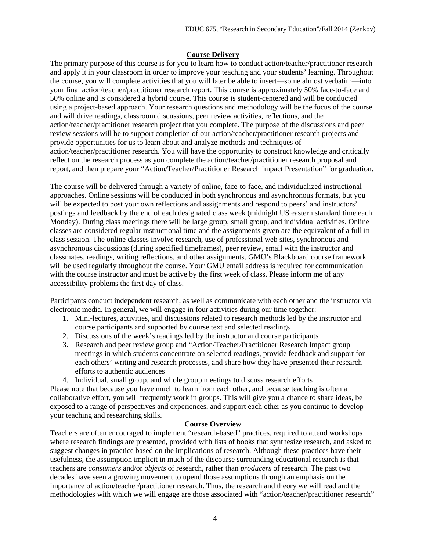## **Course Delivery**

The primary purpose of this course is for you to learn how to conduct action/teacher/practitioner research and apply it in your classroom in order to improve your teaching and your students' learning. Throughout the course, you will complete activities that you will later be able to insert—some almost verbatim—into your final action/teacher/practitioner research report. This course is approximately 50% face-to-face and 50% online and is considered a hybrid course. This course is student-centered and will be conducted using a project-based approach. Your research questions and methodology will be the focus of the course and will drive readings, classroom discussions, peer review activities, reflections, and the action/teacher/practitioner research project that you complete. The purpose of the discussions and peer review sessions will be to support completion of our action/teacher/practitioner research projects and provide opportunities for us to learn about and analyze methods and techniques of action/teacher/practitioner research. You will have the opportunity to construct knowledge and critically reflect on the research process as you complete the action/teacher/practitioner research proposal and report, and then prepare your "Action/Teacher/Practitioner Research Impact Presentation" for graduation.

The course will be delivered through a variety of online, face-to-face, and individualized instructional approaches. Online sessions will be conducted in both synchronous and asynchronous formats, but you will be expected to post your own reflections and assignments and respond to peers' and instructors' postings and feedback by the end of each designated class week (midnight US eastern standard time each Monday). During class meetings there will be large group, small group, and individual activities. Online classes are considered regular instructional time and the assignments given are the equivalent of a full inclass session. The online classes involve research, use of professional web sites, synchronous and asynchronous discussions (during specified timeframes), peer review, email with the instructor and classmates, readings, writing reflections, and other assignments. GMU's Blackboard course framework will be used regularly throughout the course. Your GMU email address is required for communication with the course instructor and must be active by the first week of class. Please inform me of any accessibility problems the first day of class.

Participants conduct independent research, as well as communicate with each other and the instructor via electronic media. In general, we will engage in four activities during our time together:

- 1. Mini-lectures, activities, and discussions related to research methods led by the instructor and course participants and supported by course text and selected readings
- 2. Discussions of the week's readings led by the instructor and course participants
- 3. Research and peer review group and "Action/Teacher/Practitioner Research Impact group meetings in which students concentrate on selected readings, provide feedback and support for each others' writing and research processes, and share how they have presented their research efforts to authentic audiences
- 4. Individual, small group, and whole group meetings to discuss research efforts

Please note that because you have much to learn from each other, and because teaching is often a collaborative effort, you will frequently work in groups. This will give you a chance to share ideas, be exposed to a range of perspectives and experiences, and support each other as you continue to develop your teaching and researching skills.

# **Course Overview**

Teachers are often encouraged to implement "research-based" practices, required to attend workshops where research findings are presented, provided with lists of books that synthesize research, and asked to suggest changes in practice based on the implications of research. Although these practices have their usefulness, the assumption implicit in much of the discourse surrounding educational research is that teachers are *consumers* and/or *objects* of research, rather than *producers* of research. The past two decades have seen a growing movement to upend those assumptions through an emphasis on the importance of action/teacher/practitioner research. Thus, the research and theory we will read and the methodologies with which we will engage are those associated with "action/teacher/practitioner research"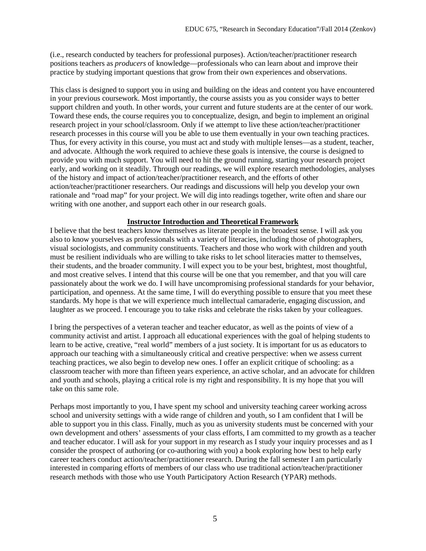(i.e., research conducted by teachers for professional purposes). Action/teacher/practitioner research positions teachers as *producers* of knowledge—professionals who can learn about and improve their practice by studying important questions that grow from their own experiences and observations.

This class is designed to support you in using and building on the ideas and content you have encountered in your previous coursework. Most importantly, the course assists you as you consider ways to better support children and youth. In other words, your current and future students are at the center of our work. Toward these ends, the course requires you to conceptualize, design, and begin to implement an original research project in your school/classroom. Only if we attempt to live these action/teacher/practitioner research processes in this course will you be able to use them eventually in your own teaching practices. Thus, for every activity in this course, you must act and study with multiple lenses—as a student, teacher, and advocate. Although the work required to achieve these goals is intensive, the course is designed to provide you with much support. You will need to hit the ground running, starting your research project early, and working on it steadily. Through our readings, we will explore research methodologies, analyses of the history and impact of action/teacher/practitioner research, and the efforts of other action/teacher/practitioner researchers. Our readings and discussions will help you develop your own rationale and "road map" for your project. We will dig into readings together, write often and share our writing with one another, and support each other in our research goals.

### **Instructor Introduction and Theoretical Framework**

I believe that the best teachers know themselves as literate people in the broadest sense. I will ask you also to know yourselves as professionals with a variety of literacies, including those of photographers, visual sociologists, and community constituents. Teachers and those who work with children and youth must be resilient individuals who are willing to take risks to let school literacies matter to themselves, their students, and the broader community. I will expect you to be your best, brightest, most thoughtful, and most creative selves. I intend that this course will be one that you remember, and that you will care passionately about the work we do. I will have uncompromising professional standards for your behavior, participation, and openness. At the same time, I will do everything possible to ensure that you meet these standards. My hope is that we will experience much intellectual camaraderie, engaging discussion, and laughter as we proceed. I encourage you to take risks and celebrate the risks taken by your colleagues.

I bring the perspectives of a veteran teacher and teacher educator, as well as the points of view of a community activist and artist. I approach all educational experiences with the goal of helping students to learn to be active, creative, "real world" members of a just society. It is important for us as educators to approach our teaching with a simultaneously critical and creative perspective: when we assess current teaching practices, we also begin to develop new ones. I offer an explicit critique of schooling: as a classroom teacher with more than fifteen years experience, an active scholar, and an advocate for children and youth and schools, playing a critical role is my right and responsibility. It is my hope that you will take on this same role.

Perhaps most importantly to you, I have spent my school and university teaching career working across school and university settings with a wide range of children and youth, so I am confident that I will be able to support you in this class. Finally, much as you as university students must be concerned with your own development and others' assessments of your class efforts, I am committed to my growth as a teacher and teacher educator. I will ask for your support in my research as I study your inquiry processes and as I consider the prospect of authoring (or co-authoring with you) a book exploring how best to help early career teachers conduct action/teacher/practitioner research. During the fall semester I am particularly interested in comparing efforts of members of our class who use traditional action/teacher/practitioner research methods with those who use Youth Participatory Action Research (YPAR) methods.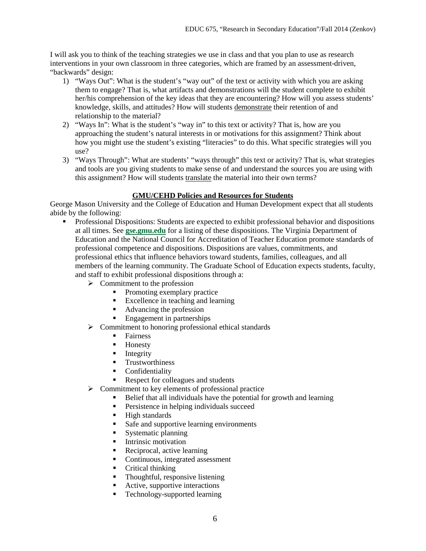I will ask you to think of the teaching strategies we use in class and that you plan to use as research interventions in your own classroom in three categories, which are framed by an assessment-driven, "backwards" design:

- 1) "Ways Out": What is the student's "way out" of the text or activity with which you are asking them to engage? That is, what artifacts and demonstrations will the student complete to exhibit her/his comprehension of the key ideas that they are encountering? How will you assess students' knowledge, skills, and attitudes? How will students demonstrate their retention of and relationship to the material?
- 2) "Ways In": What is the student's "way in" to this text or activity? That is, how are you approaching the student's natural interests in or motivations for this assignment? Think about how you might use the student's existing "literacies" to do this. What specific strategies will you use?
- 3) "Ways Through": What are students' "ways through" this text or activity? That is, what strategies and tools are you giving students to make sense of and understand the sources you are using with this assignment? How will students translate the material into their own terms?

# **GMU/CEHD Policies and Resources for Students**

George Mason University and the College of Education and Human Development expect that all students abide by the following:

- **•** Professional Dispositions: Students are expected to exhibit professional behavior and dispositions at all times. See **[gse.gmu.edu](https://by2prd0510.outlook.com/owa/redir.aspx?C=bcDR-1YfGkmHimyYOu6rz11TnIsCb9AIDGJvWB8bDF6IT0B_7egxPMSuoN_pb45uG3pVrbRPWgA.&URL=http%3a%2f%2fgse.gmu.edu%2f)** for a listing of these dispositions. The Virginia Department of Education and the National Council for Accreditation of Teacher Education promote standards of professional competence and dispositions. Dispositions are values, commitments, and professional ethics that influence behaviors toward students, families, colleagues, and all members of the learning community. The Graduate School of Education expects students, faculty, and staff to exhibit professional dispositions through a:
	- $\triangleright$  Commitment to the profession
		- Promoting exemplary practice
		- Excellence in teaching and learning
		- Advancing the profession
		- Engagement in partnerships
	- $\triangleright$  Commitment to honoring professional ethical standards
		- **Fairness**
		- **Honesty**
		- $\blacksquare$  Integrity
		- **•** Trustworthiness
		- **Confidentiality**
		- Respect for colleagues and students
	- $\triangleright$  Commitment to key elements of professional practice
		- Belief that all individuals have the potential for growth and learning
			- **Persistence in helping individuals succeed**
		- **High standards**
		- Safe and supportive learning environments
		- Systematic planning
		- **Intrinsic motivation**
		- **Reciprocal, active learning**
		- Continuous, integrated assessment
		- Critical thinking
		- Thoughtful, responsive listening
		- Active, supportive interactions
		- Technology-supported learning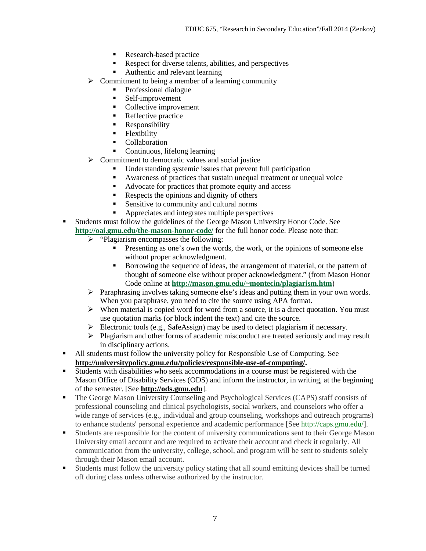- Research-based practice
- Respect for diverse talents, abilities, and perspectives
- Authentic and relevant learning
- $\triangleright$  Commitment to being a member of a learning community
	- Professional dialogue
	- Self-improvement<br>Collective improve
	- Collective improvement
	- Reflective practice
	- **Responsibility**
	- Flexibility
	- Collaboration
	- Continuous, lifelong learning
- $\triangleright$  Commitment to democratic values and social justice
	- Understanding systemic issues that prevent full participation
	- Awareness of practices that sustain unequal treatment or unequal voice
	- Advocate for practices that promote equity and access
	- Respects the opinions and dignity of others
	- Sensitive to community and cultural norms
	- Appreciates and integrates multiple perspectives
- Students must follow the guidelines of the George Mason University Honor Code. See **<http://oai.gmu.edu/the-mason-honor-code/>** for the full honor code. Please note that:
	- $\triangleright$  "Plagiarism encompasses the following:
		- Presenting as one's own the words, the work, or the opinions of someone else without proper acknowledgment.
		- Borrowing the sequence of ideas, the arrangement of material, or the pattern of thought of someone else without proper acknowledgment." (from Mason Honor Code online at **[http://mason.gmu.edu/~montecin/plagiarism.htm](https://by2prd0510.outlook.com/owa/redir.aspx?C=bcDR-1YfGkmHimyYOu6rz11TnIsCb9AIDGJvWB8bDF6IT0B_7egxPMSuoN_pb45uG3pVrbRPWgA.&URL=http%3a%2f%2fmason.gmu.edu%2f%7emontecin%2fplagiarism.htm)**)
	- $\triangleright$  Paraphrasing involves taking someone else's ideas and putting them in your own words. When you paraphrase, you need to cite the source using APA format.
	- $\triangleright$  When material is copied word for word from a source, it is a direct quotation. You must use quotation marks (or block indent the text) and cite the source.
	- Electronic tools (e.g., SafeAssign) may be used to detect plagiarism if necessary.
	- $\triangleright$  Plagiarism and other forms of academic misconduct are treated seriously and may result in disciplinary actions.
- All students must follow the university policy for Responsible Use of Computing. See **[http://universitypolicy.gmu.edu/policies/responsible-use-of-computing/.](http://universitypolicy.gmu.edu/policies/responsible-use-of-computing/)**
- Students with disabilities who seek accommodations in a course must be registered with the Mason Office of Disability Services (ODS) and inform the instructor, in writing, at the beginning of the semester. [See **[http://ods.gmu.edu](http://ods.gmu.edu/)**].
- The George Mason University Counseling and Psychological Services (CAPS) staff consists of professional counseling and clinical psychologists, social workers, and counselors who offer a wide range of services (e.g., individual and group counseling, workshops and outreach programs) to enhance students' personal experience and academic performance [See [http://caps.gmu.edu/\]](http://caps.gmu.edu/).
- Students are responsible for the content of university communications sent to their George Mason University email account and are required to activate their account and check it regularly. All communication from the university, college, school, and program will be sent to students solely through their Mason email account.
- Students must follow the university policy stating that all sound emitting devices shall be turned off during class unless otherwise authorized by the instructor.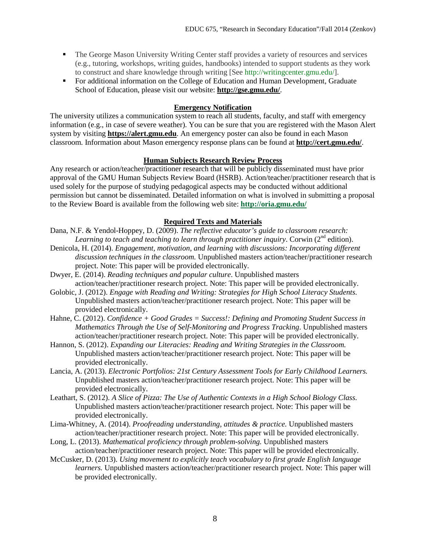- The George Mason University Writing Center staff provides a variety of resources and services (e.g., tutoring, workshops, writing guides, handbooks) intended to support students as they work to construct and share knowledge through writing [See [http://writingcenter.gmu.edu/\]](http://writingcenter.gmu.edu/).
- For additional information on the College of Education and Human Development, Graduate School of Education, please visit our website: **<http://gse.gmu.edu/>**.

### **Emergency Notification**

The university utilizes a communication system to reach all students, faculty, and staff with emergency information (e.g., in case of severe weather). You can be sure that you are registered with the Mason Alert system by visiting **[https://alert.gmu.edu](https://alert.gmu.edu/)**. An emergency poster can also be found in each Mason classroom. Information about Mason emergency response plans can be found at **<http://cert.gmu.edu/>**.

### **Human Subjects Research Review Process**

Any research or action/teacher/practitioner research that will be publicly disseminated must have prior approval of the GMU Human Subjects Review Board (HSRB). Action/teacher/practitioner research that is used solely for the purpose of studying pedagogical aspects may be conducted without additional permission but cannot be disseminated. Detailed information on what is involved in submitting a proposal to the Review Board is available from the following web site: **<http://oria.gmu.edu/>**

## **Required Texts and Materials**

- Dana, N.F. & Yendol-Hoppey, D. (2009). *The reflective educator's guide to classroom research:*  Learning to teach and teaching to learn through practitioner inquiry. Corwin (2<sup>nd</sup> edition).
- Denicola, H. (2014). *Engagement, motivation, and learning with discussions: Incorporating different discussion techniques in the classroom.* Unpublished masters action/teacher/practitioner research project. Note: This paper will be provided electronically.
- Dwyer, E. (2014). *Reading techniques and popular culture*. Unpublished masters action/teacher/practitioner research project. Note: This paper will be provided electronically.
- Golobic, J. (2012). *Engage with Reading and Writing: Strategies for High School Literacy Students.*  Unpublished masters action/teacher/practitioner research project. Note: This paper will be provided electronically.
- Hahne, C. (2012). *Confidence + Good Grades = Success!: Defining and Promoting Student Success in Mathematics Through the Use of Self-Monitoring and Progress Tracking*. Unpublished masters action/teacher/practitioner research project. Note: This paper will be provided electronically.
- Hannon, S. (2012). *Expanding our Literacies: Reading and Writing Strategies in the Classroom.* Unpublished masters action/teacher/practitioner research project. Note: This paper will be provided electronically.
- Lancia, A. (2013). *Electronic Portfolios: 21st Century Assessment Tools for Early Childhood Learners.* Unpublished masters action/teacher/practitioner research project. Note: This paper will be provided electronically.
- Leathart, S. (2012). *A Slice of Pizza: The Use of Authentic Contexts in a High School Biology Class.* Unpublished masters action/teacher/practitioner research project. Note: This paper will be provided electronically.
- Lima-Whitney, A. (2014). *Proofreading understanding, attitudes & practice.* Unpublished masters action/teacher/practitioner research project. Note: This paper will be provided electronically.
- Long, L. (2013). *Mathematical proficiency through problem-solving.* Unpublished masters action/teacher/practitioner research project. Note: This paper will be provided electronically.
- McCusker, D. (2013). *Using movement to explicitly teach vocabulary to first grade English language learners.* Unpublished masters action/teacher/practitioner research project. Note: This paper will be provided electronically.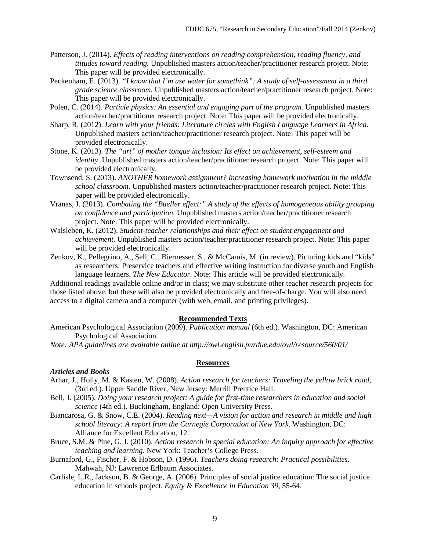- Patterson, J. (2014). *Effects of reading interventions on reading comprehension, reading fluency, and ttitudes toward reading.* Unpublished masters action/teacher/practitioner research project. Note: This paper will be provided electronically.
- Peckenham, E. (2013). *"I know that I'm use water for somethink": A study of self-assessment in a third grade science classroom.* Unpublished masters action/teacher/practitioner research project. Note: This paper will be provided electronically.
- Polen, C. (2014). *Particle physics: An essential and engaging part of the program.* Unpublished masters action/teacher/practitioner research project. Note: This paper will be provided electronically.
- Sharp, R. (2012). *Learn with your friends: Literature circles with English Language Learners in Africa*. Unpublished masters action/teacher/practitioner research project. Note: This paper will be provided electronically.
- Stone, K. (2013). *The "art" of mother tongue inclusion: Its effect on achievement, self-esteem and identity.* Unpublished masters action/teacher/practitioner research project. Note: This paper will be provided electronically.
- Townsend, S. (2013). *ANOTHER homework assignment? Increasing homework motivation in the middle school classroom.* Unpublished masters action/teacher/practitioner research project. Note: This paper will be provided electronically.
- Vranas, J. (2013). *Combating the "Bueller effect:" A study of the effects of homogeneous ability grouping on confidence and participation.* Unpublished masters action/teacher/practitioner research project. Note: This paper will be provided electronically.
- Walsleben, K. (2012). *Student-teacher relationships and their effect on student engagement and achievement.* Unpublished masters action/teacher/practitioner research project. Note: This paper will be provided electronically.
- Zenkov, K., Pellegrino, A., Sell, C., Biernesser, S., & McCamis, M. (in review). Picturing kids and "kids" as researchers: Preservice teachers and effective writing instruction for diverse youth and English language learners. *The New Educator*. Note: This article will be provided electronically.

Additional readings available online and/or in class; we may substitute other teacher research projects for those listed above, but these will also be provided electronically and free-of-charge. You will also need access to a digital camera and a computer (with web, email, and printing privileges).

#### **Recommended Texts**

American Psychological Association (2009). *Publication manual* (6th ed.). Washington, DC: American Psychological Association.

*Note: APA guidelines are available online at http://owl.english.purdue.edu/owl/resource/560/01/*

### **Resources**

#### *Articles and Books*

- Arhar, J., Holly, M. & Kasten, W. (2008). *Action research for teachers: Traveling the yellow brick road*, (3rd ed.). Upper Saddle River, New Jersey: Merrill Prentice Hall.
- Bell, J. (2005). *Doing your research project: A guide for first-time researchers in education and social science* (4th ed.). Buckingham, England: Open University Press.
- Biancarosa, G. & Snow, C.E. (2004). *Reading next—A vision for action and research in middle and high school literacy: A report from the Carnegie Corporation of New York*. Washington, DC: Alliance for Excellent Education, 12.
- Bruce, S.M. & Pine, G. J. (2010). *Action research in special education: An inquiry approach for effective teaching and learning*. New York: Teacher's College Press.
- Burnaford, G., Fischer, F. & Hobson, D. (1996). *Teachers doing research: Practical possibilities.* Mahwah, NJ: Lawrence Erlbaum Associates.
- Carlisle, L.R., Jackson, B. & George, A. (2006). Principles of social justice education: The social justice education in schools project. *Equity & Excellence in Education 39,* 55-64.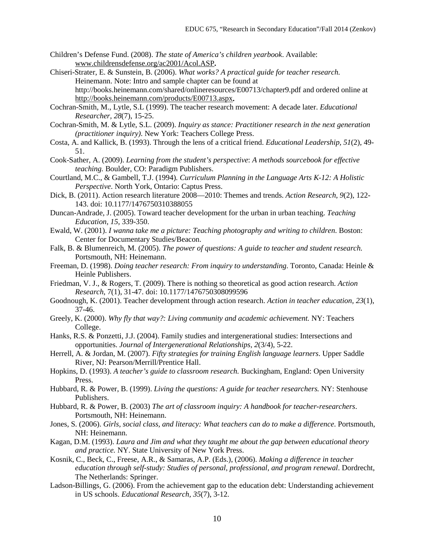- Children's Defense Fund. (2008). *The state of America's children yearbook*. Available: [www.childrensdefense.org/ac2001/Acol.ASP](http://www.childrensdefense.org/ac2001/Acol.ASP)**.**
- Chiseri-Strater, E. & Sunstein, B. (2006). *What works? A practical guide for teacher research.*  Heinemann. Note: Intro and sample chapter can be found at http://books.heinemann.com/shared/onlineresources/E00713/chapter9.pdf and ordered online at <http://books.heinemann.com/products/E00713.aspx>**.**
- Cochran-Smith, M., Lytle, S.L (1999). The teacher research movement: A decade later. *Educational Researcher, 28*(7), 15-25.
- Cochran-Smith, M. & Lytle, S.L. (2009). *Inquiry as stance: Practitioner research in the next generation (practitioner inquiry)*. New York: Teachers College Press.
- Costa, A. and Kallick, B. (1993). Through the lens of a critical friend. *Educational Leadership, 51*(2), 49- 51.
- Cook-Sather, A. (2009). *Learning from the student's perspective*: *A methods sourcebook for effective teaching.* Boulder, CO: Paradigm Publishers.
- Courtland, M.C., & Gambell, T.J. (1994)*. Curriculum Planning in the Language Arts K-12: A Holistic Perspective*. North York, Ontario: Captus Press.
- Dick, B. (2011). Action research literature 2008—2010: Themes and trends. *Action Research*, *9*(2), 122- 143. doi: 10.1177/1476750310388055
- Duncan-Andrade, J. (2005). Toward teacher development for the urban in urban teaching. *Teaching Education, 15*, 339-350.
- Ewald, W. (2001). *I wanna take me a picture: Teaching photography and writing to children*. Boston: Center for Documentary Studies/Beacon.
- Falk, B. & Blumenreich, M. (2005). *The power of questions: A guide to teacher and student research.*  Portsmouth, NH: Heinemann.
- Freeman, D. (1998). *Doing teacher research: From inquiry to understanding*. Toronto, Canada: Heinle & Heinle Publishers.
- Friedman, V. J., & Rogers, T. (2009). There is nothing so theoretical as good action research. *Action Research*, 7(1), 31-47. doi: 10.1177/1476750308099596
- Goodnough, K. (2001). Teacher development through action research. *Action in teacher education, 23*(1), 37-46.
- Greely, K. (2000). *Why fly that way?: Living community and academic achievement.* NY: Teachers College.
- Hanks, R.S. & Ponzetti, J.J. (2004). Family studies and intergenerational studies: Intersections and opportunities. *Journal of Intergenerational Relationships, 2*(3/4), 5-22.
- Herrell, A. & Jordan, M. (2007). *Fifty strategies for training English language learners*. Upper Saddle River, NJ: Pearson/Merrill/Prentice Hall.
- Hopkins, D. (1993). *A teacher's guide to classroom research.* Buckingham, England: Open University Press.
- Hubbard, R. & Power, B. (1999). *Living the questions: A guide for teacher researchers.* NY: Stenhouse Publishers.
- Hubbard, R. & Power, B. (2003) *The art of classroom inquiry: A handbook for teacher-researchers*. Portsmouth, NH: Heinemann.
- Jones, S. (2006). *Girls, social class, and literacy: What teachers can do to make a difference*. Portsmouth, NH: Heinemann.
- Kagan, D.M. (1993). *Laura and Jim and what they taught me about the gap between educational theory and practice.* NY. State University of New York Press.
- Kosnik, C., Beck, C., Freese, A.R., & Samaras, A.P. (Eds.), (2006). *Making a difference in teacher education through self-study: Studies of personal, professional, and program renewal*. Dordrecht, The Netherlands: Springer.
- Ladson-Billings, G. (2006). From the achievement gap to the education debt: Understanding achievement in US schools. *Educational Research, 35*(7), 3-12.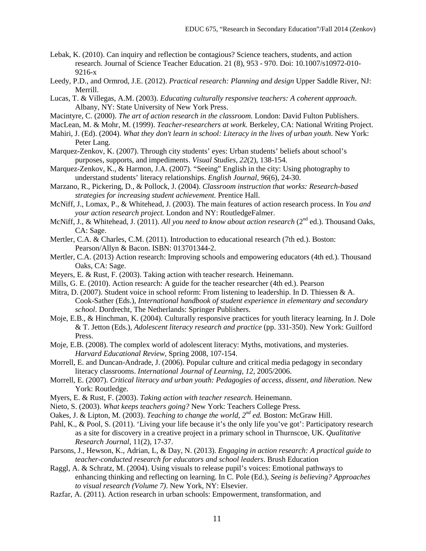- Lebak, K. (2010). Can inquiry and reflection be contagious? Science teachers, students, and action research. Journal of Science Teacher Education. 21 (8), 953 - 970. Doi: 10.1007/s10972-010- 9216-x
- Leedy, P.D., and Ormrod, J.E. (2012). *Practical research: Planning and design* Upper Saddle River, NJ: Merrill.
- Lucas, T. & Villegas, A.M. (2003). *Educating culturally responsive teachers: A coherent approach*. Albany, NY: State University of New York Press.
- Macintyre, C. (2000). *The art of action research in the classroom.* London: David Fulton Publishers.
- MacLean, M. & Mohr, M. (1999). *Teacher-researchers at work.* Berkeley, CA: National Writing Project.
- Mahiri, J. (Ed). (2004). *What they don't learn in school: Literacy in the lives of urban youth*. New York: Peter Lang.
- Marquez-Zenkov, K. (2007). Through city students' eyes: Urban students' beliefs about school's purposes, supports, and impediments. *Visual Studies, 22*(2), 138-154.
- Marquez-Zenkov, K., & Harmon, J.A. (2007). "Seeing" English in the city: Using photography to understand students' literacy relationships. *English Journal, 96*(6), 24-30.
- Marzano, R., Pickering, D., & Pollock, J. (2004). *Classroom instruction that works: Research-based strategies for increasing student achievement.* Prentice Hall.
- McNiff, J., Lomax, P., & Whitehead, J. (2003). The main features of action research process. In *You and your action research project.* London and NY: RoutledgeFalmer.
- McNiff, J., & Whitehead, J. (2011). *All you need to know about action research* (2<sup>nd</sup> ed.). Thousand Oaks, CA: Sage.
- Mertler, C.A. & Charles, C.M. (2011). Introduction to educational research (7th ed.). Boston: Pearson/Allyn & Bacon. ISBN: 013701344-2.
- Mertler, C.A. (2013) Action research: Improving schools and empowering educators (4th ed.). Thousand Oaks, CA: Sage.
- Meyers, E. & Rust, F. (2003). Taking action with teacher research. Heinemann.
- Mills, G. E. (2010). Action research: A guide for the teacher researcher (4th ed.). Pearson
- Mitra, D. (2007). Student voice in school reform: From listening to leadership. In D. Thiessen & A. Cook-Sather (Eds.), *International handbook of student experience in elementary and secondary school*. Dordrecht, The Netherlands: Springer Publishers.
- Moje, E.B., & Hinchman, K. (2004). Culturally responsive practices for youth literacy learning. In J. Dole & T. Jetton (Eds.), *Adolescent literacy research and practice* (pp. 331-350). New York: Guilford Press.
- Moje, E.B. (2008). The complex world of adolescent literacy: Myths, motivations, and mysteries. *Harvard Educational Review*, Spring 2008, 107-154.
- Morrell, E. and Duncan-Andrade, J. (2006). Popular culture and critical media pedagogy in secondary literacy classrooms. *International Journal of Learning, 12*, 2005/2006.
- Morrell, E. (2007). *Critical literacy and urban youth: Pedagogies of access, dissent, and liberation*. New York: Routledge.
- Myers, E. & Rust, F. (2003). *Taking action with teacher research*. Heinemann.
- Nieto, S. (2003). *What keeps teachers going?* New York: Teachers College Press.
- Oakes, J. & Lipton, M. (2003). *Teaching to change the world, 2nd ed.* Boston: McGraw Hill.
- Pahl, K., & Pool, S. (2011). 'Living your life because it's the only life you've got': Participatory research as a site for discovery in a creative project in a primary school in Thurnscoe, UK. *Qualitative Research Journal*, 11(2), 17-37.
- Parsons, J., Hewson, K., Adrian, L, & Day, N. (2013). *Engaging in action research: A practical guide to teacher-conducted research for educators and school leaders*. Brush Education
- Raggl, A. & Schratz, M. (2004). Using visuals to release pupil's voices: Emotional pathways to enhancing thinking and reflecting on learning. In C. Pole (Ed.), *Seeing is believing? Approaches to visual research (Volume 7)*. New York, NY: Elsevier.
- Razfar, A. (2011). Action research in urban schools: Empowerment, transformation, and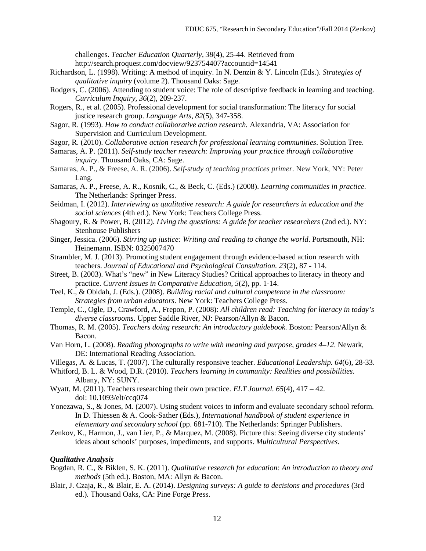challenges. *Teacher Education Quarterly, 38*(4), 25-44. Retrieved from http://search.proquest.com/docview/923754407?accountid=14541

- Richardson, L. (1998). Writing: A method of inquiry. In N. Denzin & Y. Lincoln (Eds.). *Strategies of qualitative inquiry* (volume 2). Thousand Oaks: Sage.
- Rodgers, C. (2006). Attending to student voice: The role of descriptive feedback in learning and teaching. *Curriculum Inquiry, 36*(2), 209-237.
- Rogers, R., et al. (2005). Professional development for social transformation: The literacy for social justice research group. *Language Arts, 82*(5), 347-358.
- Sagor, R. (1993). *How to conduct collaborative action research.* Alexandria, VA: Association for Supervision and Curriculum Development.
- Sagor, R. (2010). *Collaborative action research for professional learning communities*. Solution Tree.
- Samaras, A. P. (2011). *Self-study teacher research: Improving your practice through collaborative inquiry.* Thousand Oaks, CA: Sage.
- Samaras, A. P., & Freese, A. R. (2006). *Self-study of teaching practices primer.* New York, NY: Peter Lang.
- Samaras, A. P., Freese, A. R., Kosnik, C., & Beck, C. (Eds.) (2008). *Learning communities in practice.*  The Netherlands: Springer Press.
- Seidman, I. (2012). *Interviewing as qualitative research: A guide for researchers in education and the social sciences* (4th ed.). New York: Teachers College Press.
- Shagoury, R. & Power, B. (2012). *Living the questions: A guide for teacher researchers* (2nd ed.). NY: Stenhouse Publishers
- Singer, Jessica. (2006). *Stirring up justice: Writing and reading to change the world*. Portsmouth, NH: Heinemann. ISBN: 0325007470
- Strambler, M. J. (2013). Promoting student engagement through evidence-based action research with teachers. *Journal of Educational and Psychological Consultation. 23*(2), 87 - 114.
- Street, B. (2003). What's "new" in New Literacy Studies? Critical approaches to literacy in theory and practice. *Current Issues in Comparative Education, 5*(2), pp. 1-14.
- Teel, K., & Obidah, J. (Eds.). (2008). *Building racial and cultural competence in the classroom: Strategies from urban educators*. New York: Teachers College Press.
- Temple, C., Ogle, D., Crawford, A., Frepon, P. (2008): *All children read: Teaching for literacy in today's diverse classrooms*. Upper Saddle River, NJ: Pearson/Allyn & Bacon.
- Thomas, R. M. (2005). *Teachers doing research: An introductory guidebook.* Boston: Pearson/Allyn & Bacon.
- Van Horn, L. (2008). *Reading photographs to write with meaning and purpose, grades 4–12*. Newark, DE: International Reading Association.
- Villegas, A. & Lucas, T. (2007). The culturally responsive teacher. *Educational Leadership. 64*(6), 28-33.
- Whitford, B. L. & Wood, D.R. (2010). *Teachers learning in community: Realities and possibilities*. Albany, NY: SUNY.
- Wyatt, M. (2011). Teachers researching their own practice*. ELT Journal. 65*(4), 417 42. doi: 10.1093/elt/ccq074
- Yonezawa, S., & Jones, M. (2007). Using student voices to inform and evaluate secondary school reform. In D. Thiessen & A. Cook-Sather (Eds.), *International handbook of student experience in elementary and secondary school* (pp. 681-710). The Netherlands: Springer Publishers.
- Zenkov, K., Harmon, J., van Lier, P., & Marquez, M. (2008). Picture this: Seeing diverse city students' ideas about schools' purposes, impediments, and supports. *Multicultural Perspectives*.

### *Qualitative Analysis*

- Bogdan, R. C., & Biklen, S. K. (2011). *Qualitative research for education: An introduction to theory and methods* (5th ed.). Boston, MA: Allyn & Bacon.
- Blair, J. Czaja, R., & Blair, E. A. (2014). *Designing surveys: A guide to decisions and procedures* (3rd ed.)*.* Thousand Oaks, CA: Pine Forge Press.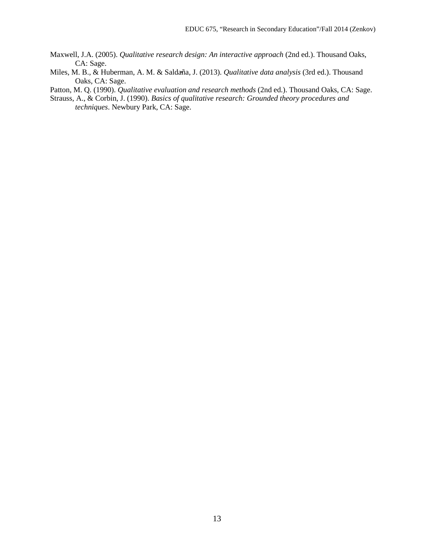- Maxwell, J.A. (2005). *Qualitative research design: An interactive approach* (2nd ed.). Thousand Oaks, CA: Sage.
- Miles, M. B., & Huberman, A. M. & Saldaña, J. (2013). *Qualitative data analysis* (3rd ed.). Thousand Oaks, CA: Sage.

Patton, M. Q. (1990). *Qualitative evaluation and research methods* (2nd ed.). Thousand Oaks, CA: Sage.

Strauss, A., & Corbin, J. (1990). *Basics of qualitative research: Grounded theory procedures and techniques*. Newbury Park, CA: Sage.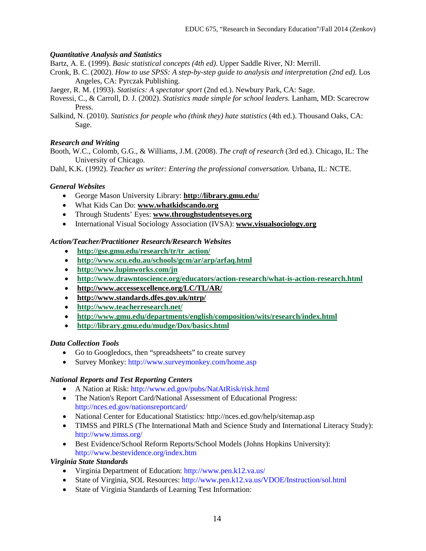## *Quantitative Analysis and Statistics*

Bartz, A. E. (1999). *Basic statistical concepts (4th ed)*. Upper Saddle River, NJ: Merrill.

Cronk, B. C. (2002). *How to use SPSS: A step-by-step guide to analysis and interpretation (2nd ed).* Los Angeles, CA: Pyrczak Publishing.

Jaeger, R. M. (1993). *Statistics: A spectator sport* (2nd ed.). Newbury Park, CA: Sage.

Rovessi, C., & Carroll, D. J. (2002). *Statistics made simple for school leaders.* Lanham, MD: Scarecrow Press.

Salkind, N. (2010). *Statistics for people who (think they) hate statistics* (4th ed.). Thousand Oaks, CA: Sage.

## *Research and Writing*

Booth, W.C., Colomb, G.G., & Williams, J.M. (2008). *The craft of research* (3rd ed.). Chicago, IL: The University of Chicago.

Dahl, K.K. (1992). *Teacher as writer: Entering the professional conversation.* Urbana, IL: NCTE.

## *General Websites*

- George Mason University Library: **<http://library.gmu.edu/>**
- What Kids Can Do: **[www.whatkidscando.org](http://www.whatkidscando.org/)**
- Through Students' Eyes: **[www.throughstudentseyes.org](http://www.throughstudentseyes.org/)**
- International Visual Sociology Association (IVSA): **[www.visualsociology.org](http://www.visualsociology.org/)**

## *Action/Teacher/Practitioner Research/Research Websites*

- **[http://gse.gmu.edu/research/tr/tr\\_action/](http://gse.gmu.edu/research/tr/tr_action/)**
- **<http://www.scu.edu.au/schools/gcm/ar/arp/arfaq.html>**
- **<http://www.lupinworks.com/jn>**
- **<http://www.drawntoscience.org/educators/action-research/what-is-action-research.html>**
- **<http://www.accessexcellence.org/LC/TL/AR/>**
- **<http://www.standards.dfes.gov.uk/ntrp/>**
- **<http://www.teacherresearch.net/>**
- **<http://www.gmu.edu/departments/english/composition/wits/research/index.html>**
- **<http://library.gmu.edu/mudge/Dox/basics.html>**

### *Data Collection Tools*

- Go to Googledocs, then "spreadsheets" to create survey
- Survey Monkey: http://www.surveymonkey.com/home.asp

### *National Reports and Test Reporting Centers*

- A Nation at Risk: http://www.ed.gov/pubs/NatAtRisk/risk.html
- The Nation's Report Card/National Assessment of Educational Progress: http://nces.ed.gov/nationsreportcard/
- National Center for Educational Statistics: http://nces.ed.gov/help/sitemap.asp
- TIMSS and PIRLS (The International Math and Science Study and International Literacy Study): http://www.timss.org/
- Best Evidence/School Reform Reports/School Models (Johns Hopkins University): http://www.bestevidence.org/index.htm

### *Virginia State Standards*

- Virginia Department of Education: http://www.pen.k12.va.us/
- State of Virginia, SOL Resources: http://www.pen.k12.va.us/VDOE/Instruction/sol.html
- State of Virginia Standards of Learning Test Information: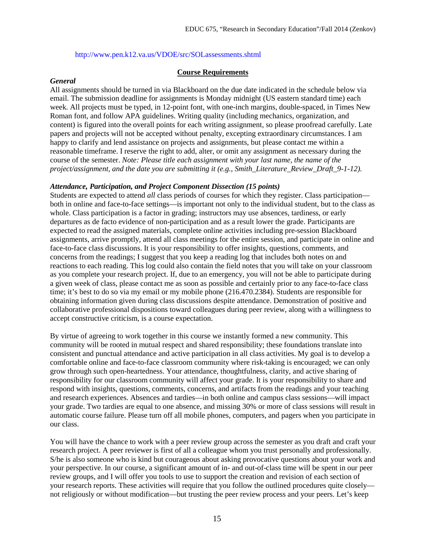### http://www.pen.k12.va.us/VDOE/src/SOLassessments.shtml

#### **Course Requirements**

#### *General*

All assignments should be turned in via Blackboard on the due date indicated in the schedule below via email. The submission deadline for assignments is Monday midnight (US eastern standard time) each week. All projects must be typed, in 12-point font, with one-inch margins, double-spaced, in Times New Roman font, and follow APA guidelines. Writing quality (including mechanics, organization, and content) is figured into the overall points for each writing assignment, so please proofread carefully. Late papers and projects will not be accepted without penalty, excepting extraordinary circumstances. I am happy to clarify and lend assistance on projects and assignments, but please contact me within a reasonable timeframe. I reserve the right to add, alter, or omit any assignment as necessary during the course of the semester. *Note: Please title each assignment with your last name, the name of the project/assignment, and the date you are submitting it (e.g., Smith\_Literature\_Review\_Draft\_9-1-12).*

#### *Attendance, Participation, and Project Component Dissection (15 points)*

Students are expected to attend *all* class periods of courses for which they register. Class participation both in online and face-to-face settings—is important not only to the individual student, but to the class as whole. Class participation is a factor in grading; instructors may use absences, tardiness, or early departures as de facto evidence of non-participation and as a result lower the grade. Participants are expected to read the assigned materials, complete online activities including pre-session Blackboard assignments, arrive promptly, attend all class meetings for the entire session, and participate in online and face-to-face class discussions. It is your responsibility to offer insights, questions, comments, and concerns from the readings; I suggest that you keep a reading log that includes both notes on and reactions to each reading. This log could also contain the field notes that you will take on your classroom as you complete your research project. If, due to an emergency, you will not be able to participate during a given week of class, please contact me as soon as possible and certainly prior to any face-to-face class time; it's best to do so via my email or my mobile phone (216.470.2384). Students are responsible for obtaining information given during class discussions despite attendance. Demonstration of positive and collaborative professional dispositions toward colleagues during peer review, along with a willingness to accept constructive criticism, is a course expectation.

By virtue of agreeing to work together in this course we instantly formed a new community. This community will be rooted in mutual respect and shared responsibility; these foundations translate into consistent and punctual attendance and active participation in all class activities. My goal is to develop a comfortable online and face-to-face classroom community where risk-taking is encouraged; we can only grow through such open-heartedness. Your attendance, thoughtfulness, clarity, and active sharing of responsibility for our classroom community will affect your grade. It is your responsibility to share and respond with insights, questions, comments, concerns, and artifacts from the readings and your teaching and research experiences. Absences and tardies—in both online and campus class sessions—will impact your grade. Two tardies are equal to one absence, and missing 30% or more of class sessions will result in automatic course failure. Please turn off all mobile phones, computers, and pagers when you participate in our class.

You will have the chance to work with a peer review group across the semester as you draft and craft your research project. A peer reviewer is first of all a colleague whom you trust personally and professionally. S/he is also someone who is kind but courageous about asking provocative questions about your work and your perspective. In our course, a significant amount of in- and out-of-class time will be spent in our peer review groups, and I will offer you tools to use to support the creation and revision of each section of your research reports. These activities will require that you follow the outlined procedures quite closely not religiously or without modification—but trusting the peer review process and your peers. Let's keep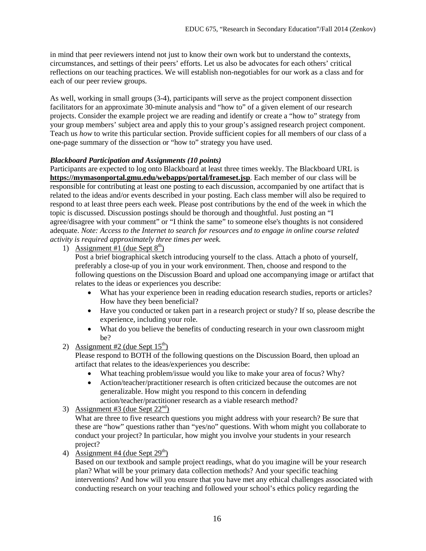in mind that peer reviewers intend not just to know their own work but to understand the contexts, circumstances, and settings of their peers' efforts. Let us also be advocates for each others' critical reflections on our teaching practices. We will establish non-negotiables for our work as a class and for each of our peer review groups.

As well, working in small groups (3-4), participants will serve as the project component dissection facilitators for an approximate 30-minute analysis and "how to" of a given element of our research projects. Consider the example project we are reading and identify or create a "how to" strategy from your group members' subject area and apply this to your group's assigned research project component. Teach us *how* to write this particular section. Provide sufficient copies for all members of our class of a one-page summary of the dissection or "how to" strategy you have used.

## *Blackboard Participation and Assignments (10 points)*

Participants are expected to log onto Blackboard at least three times weekly. The Blackboard URL is **<https://mymasonportal.gmu.edu/webapps/portal/frameset.jsp>**. Each member of our class will be responsible for contributing at least one posting to each discussion, accompanied by one artifact that is related to the ideas and/or events described in your posting. Each class member will also be required to respond to at least three peers each week. Please post contributions by the end of the week in which the topic is discussed. Discussion postings should be thorough and thoughtful. Just posting an "I agree/disagree with your comment" or "I think the same" to someone else's thoughts is not considered adequate. *Note: Access to the Internet to search for resources and to engage in online course related activity is required approximately three times per week.* 

1) Assignment #1 (due Sept  $8<sup>th</sup>$ )

Post a brief biographical sketch introducing yourself to the class. Attach a photo of yourself, preferably a close-up of you in your work environment. Then, choose and respond to the following questions on the Discussion Board and upload one accompanying image or artifact that relates to the ideas or experiences you describe:

- What has your experience been in reading education research studies, reports or articles? How have they been beneficial?
- Have you conducted or taken part in a research project or study? If so, please describe the experience, including your role.
- What do you believe the benefits of conducting research in your own classroom might be?
- 2) Assignment #2 (due Sept  $15<sup>th</sup>$ )

Please respond to BOTH of the following questions on the Discussion Board, then upload an artifact that relates to the ideas/experiences you describe:

- What teaching problem/issue would you like to make your area of focus? Why?
- Action/teacher/practitioner research is often criticized because the outcomes are not generalizable. How might you respond to this concern in defending action/teacher/practitioner research as a viable research method?
- 3) Assignment #3 (due Sept  $22<sup>nd</sup>$ )

What are three to five research questions you might address with your research? Be sure that these are "how" questions rather than "yes/no" questions. With whom might you collaborate to conduct your project? In particular, how might you involve your students in your research project?

4) Assignment #4 (due Sept  $29<sup>th</sup>$ )

Based on our textbook and sample project readings, what do you imagine will be your research plan? What will be your primary data collection methods? And your specific teaching interventions? And how will you ensure that you have met any ethical challenges associated with conducting research on your teaching and followed your school's ethics policy regarding the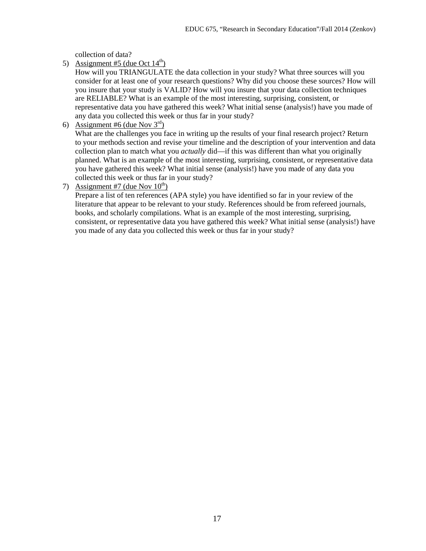collection of data?

5) Assignment #5 (due Oct  $14<sup>th</sup>$ )

How will you TRIANGULATE the data collection in your study? What three sources will you consider for at least one of your research questions? Why did you choose these sources? How will you insure that your study is VALID? How will you insure that your data collection techniques are RELIABLE? What is an example of the most interesting, surprising, consistent, or representative data you have gathered this week? What initial sense (analysis!) have you made of any data you collected this week or thus far in your study?

6) Assignment #6 (due Nov  $3<sup>rd</sup>$ )

What are the challenges you face in writing up the results of your final research project? Return to your methods section and revise your timeline and the description of your intervention and data collection plan to match what you *actually* did—if this was different than what you originally planned. What is an example of the most interesting, surprising, consistent, or representative data you have gathered this week? What initial sense (analysis!) have you made of any data you collected this week or thus far in your study?

7) Assignment #7 (due Nov  $10^{th}$ )

Prepare a list of ten references (APA style) you have identified so far in your review of the literature that appear to be relevant to your study. References should be from refereed journals, books, and scholarly compilations. What is an example of the most interesting, surprising, consistent, or representative data you have gathered this week? What initial sense (analysis!) have you made of any data you collected this week or thus far in your study?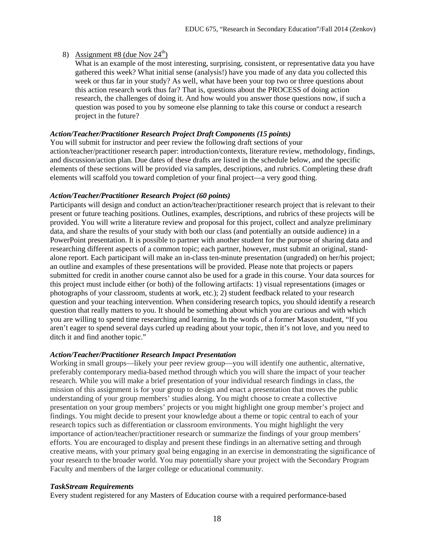# 8) Assignment #8 (due Nov  $24<sup>th</sup>$ )

What is an example of the most interesting, surprising, consistent, or representative data you have gathered this week? What initial sense (analysis!) have you made of any data you collected this week or thus far in your study? As well, what have been your top two or three questions about this action research work thus far? That is, questions about the PROCESS of doing action research, the challenges of doing it. And how would you answer those questions now, if such a question was posed to you by someone else planning to take this course or conduct a research project in the future?

# *Action/Teacher/Practitioner Research Project Draft Components (15 points)*

You will submit for instructor and peer review the following draft sections of your action/teacher/practitioner research paper: introduction/contexts, literature review, methodology, findings, and discussion/action plan. Due dates of these drafts are listed in the schedule below, and the specific elements of these sections will be provided via samples, descriptions, and rubrics. Completing these draft elements will scaffold you toward completion of your final project—a very good thing.

# *Action/Teacher/Practitioner Research Project (60 points)*

Participants will design and conduct an action/teacher/practitioner research project that is relevant to their present or future teaching positions. Outlines, examples, descriptions, and rubrics of these projects will be provided. You will write a literature review and proposal for this project, collect and analyze preliminary data, and share the results of your study with both our class (and potentially an outside audience) in a PowerPoint presentation. It is possible to partner with another student for the purpose of sharing data and researching different aspects of a common topic; each partner, however, must submit an original, standalone report. Each participant will make an in-class ten-minute presentation (ungraded) on her/his project; an outline and examples of these presentations will be provided. Please note that projects or papers submitted for credit in another course cannot also be used for a grade in this course. Your data sources for this project must include either (or both) of the following artifacts: 1) visual representations (images or photographs of your classroom, students at work, etc.); 2) student feedback related to your research question and your teaching intervention. When considering research topics, you should identify a research question that really matters to you. It should be something about which you are curious and with which you are willing to spend time researching and learning. In the words of a former Mason student, "If you aren't eager to spend several days curled up reading about your topic, then it's not love, and you need to ditch it and find another topic."

# *Action/Teacher/Practitioner Research Impact Presentation*

Working in small groups—likely your peer review group—you will identify one authentic, alternative, preferably contemporary media-based method through which you will share the impact of your teacher research. While you will make a brief presentation of your individual research findings in class, the mission of this assignment is for your group to design and enact a presentation that moves the public understanding of your group members' studies along. You might choose to create a collective presentation on your group members' projects or you might highlight one group member's project and findings. You might decide to present your knowledge about a theme or topic central to each of your research topics such as differentiation or classroom environments. You might highlight the very importance of action/teacher/practitioner research or summarize the findings of your group members' efforts. You are encouraged to display and present these findings in an alternative setting and through creative means, with your primary goal being engaging in an exercise in demonstrating the significance of your research to the broader world. You may potentially share your project with the Secondary Program Faculty and members of the larger college or educational community.

# *TaskStream Requirements*

Every student registered for any Masters of Education course with a required performance-based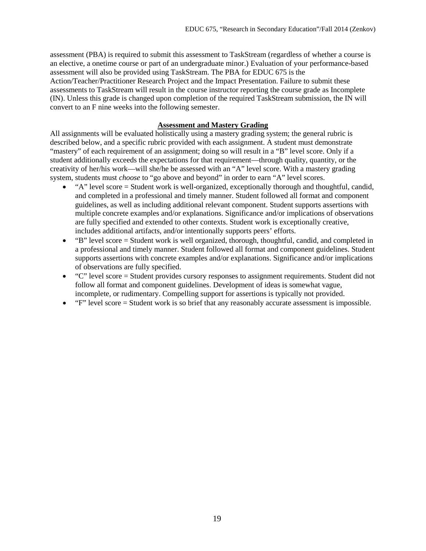assessment (PBA) is required to submit this assessment to TaskStream (regardless of whether a course is an elective, a onetime course or part of an undergraduate minor.) Evaluation of your performance-based assessment will also be provided using TaskStream. The PBA for EDUC 675 is the Action/Teacher/Practitioner Research Project and the Impact Presentation. Failure to submit these assessments to TaskStream will result in the course instructor reporting the course grade as Incomplete (IN). Unless this grade is changed upon completion of the required TaskStream submission, the IN will convert to an F nine weeks into the following semester.

#### **Assessment and Mastery Grading**

All assignments will be evaluated holistically using a mastery grading system; the general rubric is described below, and a specific rubric provided with each assignment. A student must demonstrate "mastery" of each requirement of an assignment; doing so will result in a "B" level score. Only if a student additionally exceeds the expectations for that requirement—through quality, quantity, or the creativity of her/his work—will she/he be assessed with an "A" level score. With a mastery grading system, students must *choose* to "go above and beyond" in order to earn "A" level scores.

- "A" level score = Student work is well-organized, exceptionally thorough and thoughtful, candid, and completed in a professional and timely manner. Student followed all format and component guidelines, as well as including additional relevant component. Student supports assertions with multiple concrete examples and/or explanations. Significance and/or implications of observations are fully specified and extended to other contexts. Student work is exceptionally creative, includes additional artifacts, and/or intentionally supports peers' efforts.
- "B" level score = Student work is well organized, thorough, thoughtful, candid, and completed in a professional and timely manner. Student followed all format and component guidelines. Student supports assertions with concrete examples and/or explanations. Significance and/or implications of observations are fully specified.
- "C" level score = Student provides cursory responses to assignment requirements. Student did not follow all format and component guidelines. Development of ideas is somewhat vague, incomplete, or rudimentary. Compelling support for assertions is typically not provided.
- $\bullet$  " $F$ " level score = Student work is so brief that any reasonably accurate assessment is impossible.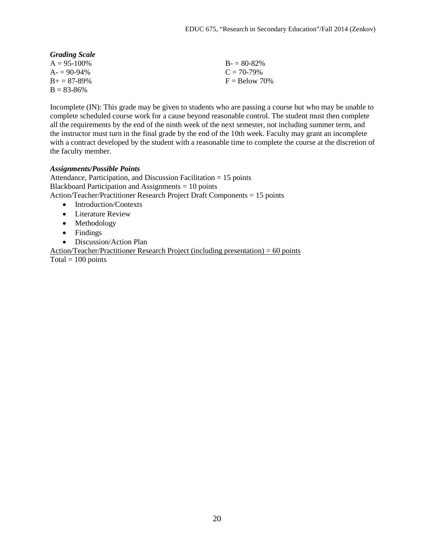| <b>Grading Scale</b> |                 |
|----------------------|-----------------|
| $A = 95 - 100\%$     | $B = 80-82\%$   |
| $A = 90-94\%$        | $C = 70-79%$    |
| $B_{+} = 87 - 89\%$  | $F =$ Below 70% |
| $B = 83 - 86\%$      |                 |

Incomplete (IN): This grade may be given to students who are passing a course but who may be unable to complete scheduled course work for a cause beyond reasonable control. The student must then complete all the requirements by the end of the ninth week of the next semester, not including summer term, and the instructor must turn in the final grade by the end of the 10th week. Faculty may grant an incomplete with a contract developed by the student with a reasonable time to complete the course at the discretion of the faculty member.

### *Assignments/Possible Points*

Attendance, Participation, and Discussion Facilitation = 15 points Blackboard Participation and Assignments = 10 points Action/Teacher/Practitioner Research Project Draft Components = 15 points

- Introduction/Contexts
- Literature Review
- Methodology
- Findings
- Discussion/Action Plan

Action/Teacher/Practitioner Research Project (including presentation) = 60 points Total  $= 100$  points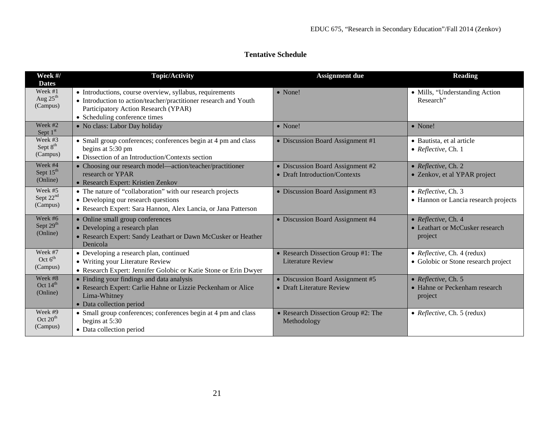# **Tentative Schedule**

| Week #/<br><b>Dates</b>                      | <b>Topic/Activity</b>                                                                                                                                                                                 | <b>Assignment due</b>                                             | <b>Reading</b>                                                     |
|----------------------------------------------|-------------------------------------------------------------------------------------------------------------------------------------------------------------------------------------------------------|-------------------------------------------------------------------|--------------------------------------------------------------------|
| Week #1<br>Aug 25 <sup>th</sup><br>(Campus)  | • Introductions, course overview, syllabus, requirements<br>• Introduction to action/teacher/practitioner research and Youth<br>Participatory Action Research (YPAR)<br>• Scheduling conference times | • None!                                                           | • Mills, "Understanding Action<br>Research"                        |
| Week #2<br>Sept $1st$                        | • No class: Labor Day holiday                                                                                                                                                                         | • None!                                                           | • None!                                                            |
| Week #3<br>Sept 8 <sup>th</sup><br>(Campus)  | • Small group conferences; conferences begin at 4 pm and class<br>begins at 5:30 pm<br>• Dissection of an Introduction/Contexts section                                                               | • Discussion Board Assignment #1                                  | • Bautista, et al article<br>• Reflective, Ch. 1                   |
| Week #4<br>Sept 15 <sup>th</sup><br>(Online) | • Choosing our research model—action/teacher/practitioner<br>research or YPAR<br>• Research Expert: Kristien Zenkov                                                                                   | • Discussion Board Assignment #2<br>• Draft Introduction/Contexts | • Reflective, Ch. 2<br>· Zenkov, et al YPAR project                |
| Week #5<br>Sept $22^{\text{nd}}$<br>(Campus) | • The nature of "collaboration" with our research projects<br>• Developing our research questions<br>• Research Expert: Sara Hannon, Alex Lancia, or Jana Patterson                                   | • Discussion Board Assignment #3                                  | • Reflective, Ch. 3<br>• Hannon or Lancia research projects        |
| Week #6<br>Sept 29 <sup>th</sup><br>(Online) | • Online small group conferences<br>• Developing a research plan<br>• Research Expert: Sandy Leathart or Dawn McCusker or Heather<br>Denicola                                                         | • Discussion Board Assignment #4                                  | • Reflective, Ch. 4<br>• Leathart or McCusker research<br>project  |
| Week #7<br>Oct $6th$<br>(Campus)             | • Developing a research plan, continued<br>• Writing your Literature Review<br>• Research Expert: Jennifer Golobic or Katie Stone or Erin Dwyer                                                       | • Research Dissection Group #1: The<br><b>Literature Review</b>   | • Reflective, Ch. 4 (redux)<br>· Golobic or Stone research project |
| Week #8<br>Oct 14 <sup>th</sup><br>(Online)  | • Finding your findings and data analysis<br>• Research Expert: Carlie Hahne or Lizzie Peckenham or Alice<br>Lima-Whitney<br>• Data collection period                                                 | • Discussion Board Assignment #5<br>• Draft Literature Review     | • Reflective, Ch. 5<br>• Hahne or Peckenham research<br>project    |
| Week #9<br>Oct $20^{\text{th}}$<br>(Campus)  | • Small group conferences; conferences begin at 4 pm and class<br>begins at 5:30<br>• Data collection period                                                                                          | • Research Dissection Group #2: The<br>Methodology                | • Reflective, Ch. 5 (redux)                                        |